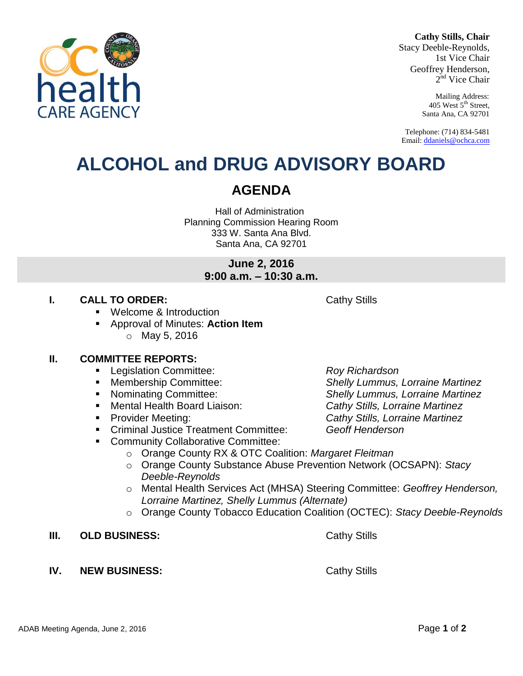#### **Cathy Stills, Chair**

Stacy Deeble-Reynolds, 1st Vice Chair Geoffrey Henderson, 2<sup>nd</sup> Vice Chair

> Mailing Address: 405 West 5<sup>th</sup> Street, Santa Ana, CA 92701

Telephone: (714) 834-5481 Email[: ddaniels@ochca.com](mailto:ddaniels@ochca.com)

## **ALCOHOL and DRUG ADVISORY BOARD**

## **AGENDA**

Hall of Administration Planning Commission Hearing Room 333 W. Santa Ana Blvd. Santa Ana, CA 92701

> **June 2, 2016 9:00 a.m. – 10:30 a.m.**

## **I. CALL TO ORDER:** Cathy Stills

- Welcome & Introduction
- Approval of Minutes: **Action Item**  $\circ$  May 5, 2016

## **II. COMMITTEE REPORTS:**

- Legislation Committee: *Roy Richardson*
- 
- 
- Mental Health Board Liaison: *Cathy Stills, Lorraine Martinez*
- 
- Criminal Justice Treatment Committee: *Geoff Henderson*
- **Community Collaborative Committee:** 
	- o Orange County RX & OTC Coalition: *Margaret Fleitman*
	- o Orange County Substance Abuse Prevention Network (OCSAPN): *Stacy Deeble-Reynolds*
	- o Mental Health Services Act (MHSA) Steering Committee: *Geoffrey Henderson, Lorraine Martinez, Shelly Lummus (Alternate)*
	- o Orange County Tobacco Education Coalition (OCTEC): *Stacy Deeble-Reynolds*
- **III. OLD BUSINESS:** Cathy Stills
- **IV. NEW BUSINESS:** Cathy Stills

ADAB Meeting Agenda, June 2, 2016 **Page 1** of 2

 Membership Committee: *Shelly Lummus, Lorraine Martinez* Nominating Committee: *Shelly Lummus, Lorraine Martinez* Provider Meeting: *Cathy Stills, Lorraine Martinez*

**ARF AGFNC**